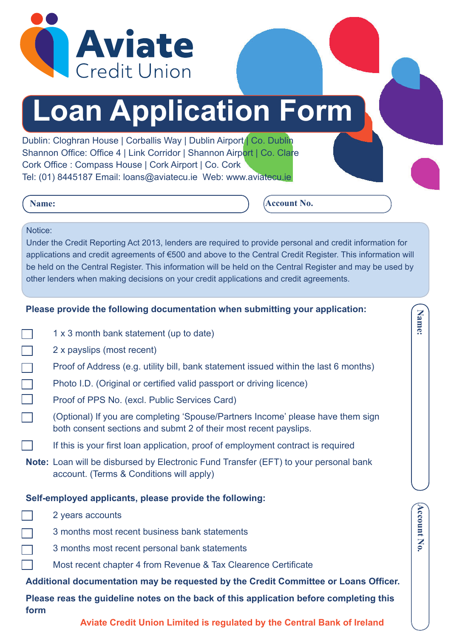

# **Loan Application Form**

Dublin: Cloghran House | Corballis Way | Dublin Airport | Co. Dublin Shannon Office: Office 4 | Link Corridor | Shannon Airport | Co. Clare Cork Office : Compass House | Cork Airport | Co. Cork Tel: (01) 8445187 Email: loans@aviatecu.ie Web: www.aviatecu.ie

## **Name:**

**Account No.**

**Account No.**

**Account No** 

**Name:**

# Notice:

Under the Credit Reporting Act 2013, lenders are required to provide personal and credit information for applications and credit agreements of €500 and above to the Central Credit Register. This information will be held on the Central Register. This information will be held on the Central Register and may be used by other lenders when making decisions on your credit applications and credit agreements.

# **Please provide the following documentation when submitting your application:**

|  | 1 x 3 month bank statement (up to date) |  |  |  |  |
|--|-----------------------------------------|--|--|--|--|
|--|-----------------------------------------|--|--|--|--|

- 2 x payslips (most recent)
- Proof of Address (e.g. utility bill, bank statement issued within the last 6 months)
- Photo I.D. (Original or certified valid passport or driving licence)
- Proof of PPS No. (excl. Public Services Card)
- (Optional) If you are completing 'Spouse/Partners Income' please have them sign both consent sections and submt 2 of their most recent payslips.
	- If this is your first loan application, proof of employment contract is required
- **Note:** Loan will be disbursed by Electronic Fund Transfer (EFT) to your personal bank account. (Terms & Conditions will apply)

## **Self-employed applicants, please provide the following:**

- 2 years accounts
- 3 months most recent business bank statements
	- 3 months most recent personal bank statements
		- Most recent chapter 4 from Revenue & Tax Clearence Certificate

# **Additional documentation may be requested by the Credit Committee or Loans Officer.**

**Please reas the guideline notes on the back of this application before completing this form**

 **Aviate Credit Union Limited is regulated by the Central Bank of Ireland**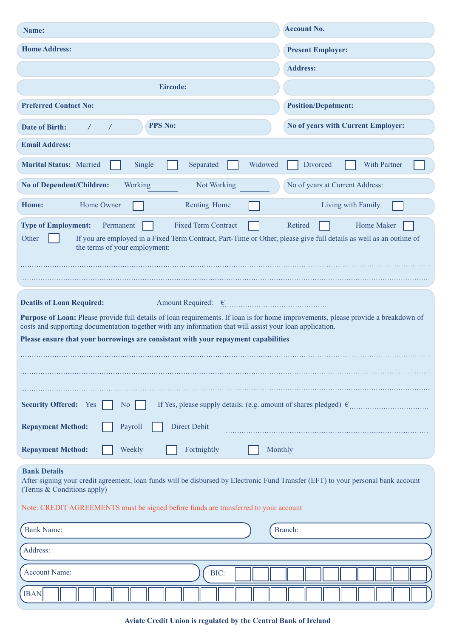| Name:                                                                                                                                                                                                                                                                                                                                                                                                   | <b>Account No.</b>                 |  |  |  |  |  |
|---------------------------------------------------------------------------------------------------------------------------------------------------------------------------------------------------------------------------------------------------------------------------------------------------------------------------------------------------------------------------------------------------------|------------------------------------|--|--|--|--|--|
| <b>Home Address:</b>                                                                                                                                                                                                                                                                                                                                                                                    | <b>Present Employer:</b>           |  |  |  |  |  |
|                                                                                                                                                                                                                                                                                                                                                                                                         | <b>Address:</b>                    |  |  |  |  |  |
| Eircode:                                                                                                                                                                                                                                                                                                                                                                                                |                                    |  |  |  |  |  |
| <b>Preferred Contact No:</b>                                                                                                                                                                                                                                                                                                                                                                            | <b>Position/Depatment:</b>         |  |  |  |  |  |
| <b>PPS No:</b><br><b>Date of Birth:</b>                                                                                                                                                                                                                                                                                                                                                                 | No of years with Current Employer: |  |  |  |  |  |
| <b>Email Address:</b>                                                                                                                                                                                                                                                                                                                                                                                   |                                    |  |  |  |  |  |
| <b>Marital Status: Married</b><br>Single<br>Separated<br>Widowed                                                                                                                                                                                                                                                                                                                                        | <b>With Partner</b><br>Divorced    |  |  |  |  |  |
| Working<br>No of Dependent/Children:<br>Not Working                                                                                                                                                                                                                                                                                                                                                     | No of years at Current Address:    |  |  |  |  |  |
| Home Owner<br>Home:<br>Renting Home                                                                                                                                                                                                                                                                                                                                                                     | Living with Family                 |  |  |  |  |  |
| <b>Fixed Term Contract</b><br>Retired<br>Home Maker<br><b>Type of Employment:</b><br>Permanent<br>Other<br>If you are employed in a Fixed Term Contract, Part-Time or Other, please give full details as well as an outline of<br>the terms of your employment:                                                                                                                                         |                                    |  |  |  |  |  |
| Amount Required: $\epsilon$<br><b>Deatils of Loan Required:</b><br>Purpose of Loan: Please provide full details of loan requirements. If loan is for home improvements, please provide a breakdown of<br>costs and supporting documentation together with any information that will assist your loan application.<br>Please ensure that your borrowings are consistant with your repayment capabilities |                                    |  |  |  |  |  |
| <b>Security Offered:</b> Yes<br>N <sub>o</sub>                                                                                                                                                                                                                                                                                                                                                          |                                    |  |  |  |  |  |
| <b>Direct Debit</b><br><b>Repayment Method:</b><br>Payroll                                                                                                                                                                                                                                                                                                                                              |                                    |  |  |  |  |  |
| Fortnightly<br><b>Repayment Method:</b><br>Weekly                                                                                                                                                                                                                                                                                                                                                       | Monthly                            |  |  |  |  |  |
| <b>Bank Details</b><br>After signing your credit agreement, loan funds will be disbursed by Electronic Fund Transfer (EFT) to your personal bank account<br>(Terms & Conditions apply)<br>Note: CREDIT AGREEMENTS must be signed before funds are transferred to your account                                                                                                                           |                                    |  |  |  |  |  |
| <b>Bank Name:</b>                                                                                                                                                                                                                                                                                                                                                                                       | Branch:                            |  |  |  |  |  |
| Address:                                                                                                                                                                                                                                                                                                                                                                                                |                                    |  |  |  |  |  |
| <b>Account Name:</b><br>BIC:                                                                                                                                                                                                                                                                                                                                                                            |                                    |  |  |  |  |  |
| <b>IBAN</b>                                                                                                                                                                                                                                                                                                                                                                                             |                                    |  |  |  |  |  |

# **Aviate Credit Union is regulated by the Central Bank of Ireland**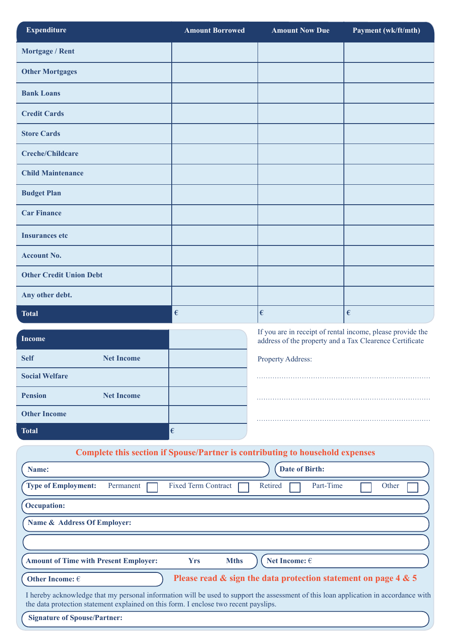| <b>Expenditure</b>                                                                                                                                                                                                           | <b>Amount Borrowed</b>     | <b>Amount Now Due</b>                                                                                                 | Payment (wk/ft/mth) |  |  |  |
|------------------------------------------------------------------------------------------------------------------------------------------------------------------------------------------------------------------------------|----------------------------|-----------------------------------------------------------------------------------------------------------------------|---------------------|--|--|--|
| Mortgage / Rent                                                                                                                                                                                                              |                            |                                                                                                                       |                     |  |  |  |
| <b>Other Mortgages</b>                                                                                                                                                                                                       |                            |                                                                                                                       |                     |  |  |  |
| <b>Bank Loans</b>                                                                                                                                                                                                            |                            |                                                                                                                       |                     |  |  |  |
| <b>Credit Cards</b>                                                                                                                                                                                                          |                            |                                                                                                                       |                     |  |  |  |
| <b>Store Cards</b>                                                                                                                                                                                                           |                            |                                                                                                                       |                     |  |  |  |
| <b>Creche/Childcare</b>                                                                                                                                                                                                      |                            |                                                                                                                       |                     |  |  |  |
| <b>Child Maintenance</b>                                                                                                                                                                                                     |                            |                                                                                                                       |                     |  |  |  |
| <b>Budget Plan</b>                                                                                                                                                                                                           |                            |                                                                                                                       |                     |  |  |  |
| <b>Car Finance</b>                                                                                                                                                                                                           |                            |                                                                                                                       |                     |  |  |  |
| <b>Insurances etc</b>                                                                                                                                                                                                        |                            |                                                                                                                       |                     |  |  |  |
| <b>Account No.</b>                                                                                                                                                                                                           |                            |                                                                                                                       |                     |  |  |  |
| <b>Other Credit Union Debt</b>                                                                                                                                                                                               |                            |                                                                                                                       |                     |  |  |  |
| Any other debt.                                                                                                                                                                                                              |                            |                                                                                                                       |                     |  |  |  |
| <b>Total</b>                                                                                                                                                                                                                 | $\epsilon$                 | €                                                                                                                     | €                   |  |  |  |
| <b>Income</b>                                                                                                                                                                                                                |                            | If you are in receipt of rental income, please provide the<br>address of the property and a Tax Clearence Certificate |                     |  |  |  |
| <b>Self</b><br><b>Net Income</b>                                                                                                                                                                                             |                            | <b>Property Address:</b>                                                                                              |                     |  |  |  |
| <b>Social Welfare</b>                                                                                                                                                                                                        |                            |                                                                                                                       |                     |  |  |  |
| <b>Pension</b><br><b>Net Income</b>                                                                                                                                                                                          |                            |                                                                                                                       |                     |  |  |  |
| <b>Other Income</b>                                                                                                                                                                                                          |                            |                                                                                                                       |                     |  |  |  |
| <b>Total</b>                                                                                                                                                                                                                 | $\epsilon$                 |                                                                                                                       |                     |  |  |  |
| Complete this section if Spouse/Partner is contributing to household expenses                                                                                                                                                |                            |                                                                                                                       |                     |  |  |  |
| Name:                                                                                                                                                                                                                        | <b>Date of Birth:</b>      |                                                                                                                       |                     |  |  |  |
| <b>Type of Employment:</b><br>Permanent                                                                                                                                                                                      | <b>Fixed Term Contract</b> | Part-Time<br>Retired                                                                                                  | Other               |  |  |  |
| <b>Occupation:</b>                                                                                                                                                                                                           |                            |                                                                                                                       |                     |  |  |  |
| Name & Address Of Employer:                                                                                                                                                                                                  |                            |                                                                                                                       |                     |  |  |  |
|                                                                                                                                                                                                                              |                            |                                                                                                                       |                     |  |  |  |
| <b>Amount of Time with Present Employer:</b>                                                                                                                                                                                 | <b>Yrs</b><br><b>Mths</b>  | Net Income: $\in$                                                                                                     |                     |  |  |  |
| Other Income: $\in$                                                                                                                                                                                                          |                            | Please read $\&$ sign the data protection statement on page 4 $\&$ 5                                                  |                     |  |  |  |
| I hereby acknowledge that my personal information will be used to support the assessment of this loan application in accordance with<br>the data protection statement explained on this form. I enclose two recent payslips. |                            |                                                                                                                       |                     |  |  |  |
| <b>Signature of Spouse/Partner:</b>                                                                                                                                                                                          |                            |                                                                                                                       |                     |  |  |  |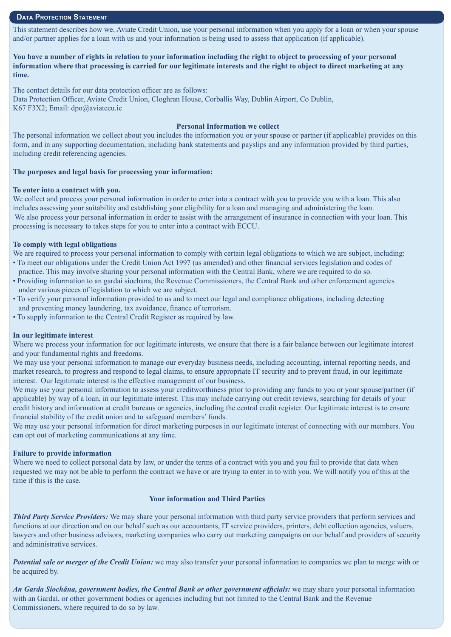#### **DATA PROTECTION STATEMENT**

This statement describes how we, Aviate Credit Union, use your personal information when you apply for a loan or when your spouse and/or partner applies for a loan with us and your information is being used to assess that application (if applicable).

**You have a number of rights in relation to your information including the right to object to processing of your personal information where that processing is carried for our legitimate interests and the right to object to direct marketing at any time.**

The contact details for our data protection officer are as follows: Data Protection Officer, Aviate Credit Union, Cloghran House, Corballis Way, Dublin Airport, Co Dublin, K67 F3X2; Email: dpo@aviatecu.ie

#### **Personal Information we collect**

The personal information we collect about you includes the information you or your spouse or partner (if applicable) provides on this form, and in any supporting documentation, including bank statements and payslips and any information provided by third parties, including credit referencing agencies.

#### **The purposes and legal basis for processing your information:**

#### **To enter into a contract with you.**

We collect and process your personal information in order to enter into a contract with you to provide you with a loan. This also includes assessing your suitability and establishing your eligibility for a loan and managing and administering the loan. We also process your personal information in order to assist with the arrangement of insurance in connection with your loan. This processing is necessary to takes steps for you to enter into a contract with ECCU.

#### **To comply with legal obligations**

We are required to process your personal information to comply with certain legal obligations to which we are subject, including: • To meet our obligations under the Credit Union Act 1997 (as amended) and other financial services legislation and codes of practice. This may involve sharing your personal information with the Central Bank, where we are required to do so.

- Providing information to an gardai siochana, the Revenue Commissioners, the Central Bank and other enforcement agencies under various pieces of legislation to which we are subject.
- To verify your personal information provided to us and to meet our legal and compliance obligations, including detecting and preventing money laundering, tax avoidance, finance of terrorism.
- To supply information to the Central Credit Register as required by law.

#### **In our legitimate interest**

Where we process your information for our legitimate interests, we ensure that there is a fair balance between our legitimate interest and your fundamental rights and freedoms.

We may use your personal information to manage our everyday business needs, including accounting, internal reporting needs, and market research, to progress and respond to legal claims, to ensure appropriate IT security and to prevent fraud, in our legitimate interest. Our legitimate interest is the effective management of our business.

We may use your personal information to assess your creditworthiness prior to providing any funds to you or your spouse/partner (if applicable) by way of a loan, in our legitimate interest. This may include carrying out credit reviews, searching for details of your credit history and information at credit bureaus or agencies, including the central credit register. Our legitimate interest is to ensure financial stability of the credit union and to safeguard members' funds.

We may use your personal information for direct marketing purposes in our legitimate interest of connecting with our members. You can opt out of marketing communications at any time.

#### **Failure to provide information**

Where we need to collect personal data by law, or under the terms of a contract with you and you fail to provide that data when requested we may not be able to perform the contract we have or are trying to enter in to with you. We will notify you of this at the time if this is the case.

#### **Your information and Third Parties**

*Third Party Service Providers:* We may share your personal information with third party service providers that perform services and functions at our direction and on our behalf such as our accountants, IT service providers, printers, debt collection agencies, valuers, lawyers and other business advisors, marketing companies who carry out marketing campaigns on our behalf and providers of security and administrative services.

*Potential sale or merger of the Credit Union:* we may also transfer your personal information to companies we plan to merge with or be acquired by.

*An Garda Síochána, government bodies, the Central Bank or other government officials:* we may share your personal information with an Gardaí, or other government bodies or agencies including but not limited to the Central Bank and the Revenue Commissioners, where required to do so by law.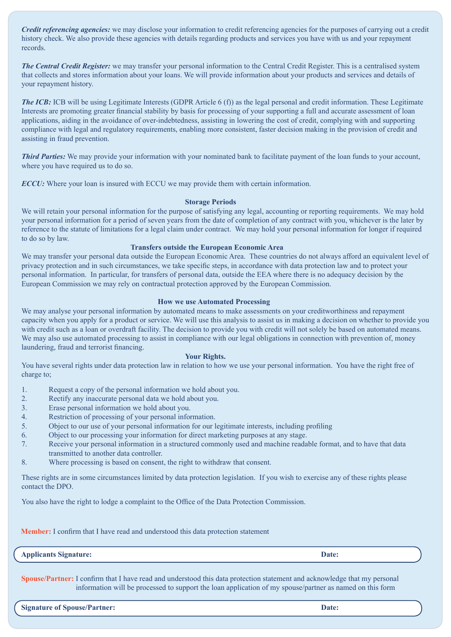*Credit referencing agencies:* we may disclose your information to credit referencing agencies for the purposes of carrying out a credit history check. We also provide these agencies with details regarding products and services you have with us and your repayment records.

*The Central Credit Register:* we may transfer your personal information to the Central Credit Register. This is a centralised system that collects and stores information about your loans. We will provide information about your products and services and details of your repayment history.

*The ICB:* ICB will be using Legitimate Interests (GDPR Article 6 (f)) as the legal personal and credit information. These Legitimate Interests are promoting greater financial stability by basis for processing of your supporting a full and accurate assessment of loan applications, aiding in the avoidance of over-indebtedness, assisting in lowering the cost of credit, complying with and supporting compliance with legal and regulatory requirements, enabling more consistent, faster decision making in the provision of credit and assisting in fraud prevention.

*Third Parties:* We may provide your information with your nominated bank to facilitate payment of the loan funds to your account, where you have required us to do so.

*ECCU:* Where your loan is insured with ECCU we may provide them with certain information.

#### **Storage Periods**

We will retain your personal information for the purpose of satisfying any legal, accounting or reporting requirements. We may hold your personal information for a period of seven years from the date of completion of any contract with you, whichever is the later by reference to the statute of limitations for a legal claim under contract. We may hold your personal information for longer if required to do so by law.

#### **Transfers outside the European Economic Area**

We may transfer your personal data outside the European Economic Area. These countries do not always afford an equivalent level of privacy protection and in such circumstances, we take specific steps, in accordance with data protection law and to protect your personal information. In particular, for transfers of personal data, outside the EEA where there is no adequacy decision by the European Commission we may rely on contractual protection approved by the European Commission.

#### **How we use Automated Processing**

We may analyse your personal information by automated means to make assessments on your creditworthiness and repayment capacity when you apply for a product or service. We will use this analysis to assist us in making a decision on whether to provide you with credit such as a loan or overdraft facility. The decision to provide you with credit will not solely be based on automated means. We may also use automated processing to assist in compliance with our legal obligations in connection with prevention of, money laundering, fraud and terrorist financing.

#### **Your Rights.**

You have several rights under data protection law in relation to how we use your personal information. You have the right free of charge to;

- 1. Request a copy of the personal information we hold about you.
- 2. Rectify any inaccurate personal data we hold about you.
- 3. Erase personal information we hold about you.
- 4. Restriction of processing of your personal information.
- 5. Object to our use of your personal information for our legitimate interests, including profiling
- 6. Object to our processing your information for direct marketing purposes at any stage.
- 7. Receive your personal information in a structured commonly used and machine readable format, and to have that data transmitted to another data controller.
- 8. Where processing is based on consent, the right to withdraw that consent.

These rights are in some circumstances limited by data protection legislation. If you wish to exercise any of these rights please contact the DPO.

You also have the right to lodge a complaint to the Office of the Data Protection Commission.

**Member:** I confirm that I have read and understood this data protection statement

**Applicants Signature: Date:**

**Spouse/Partner:** I confirm that I have read and understood this data protection statement and acknowledge that my personal information will be processed to support the loan application of my spouse/partner as named on this form

**Signature of Spouse/Partner: Date:**